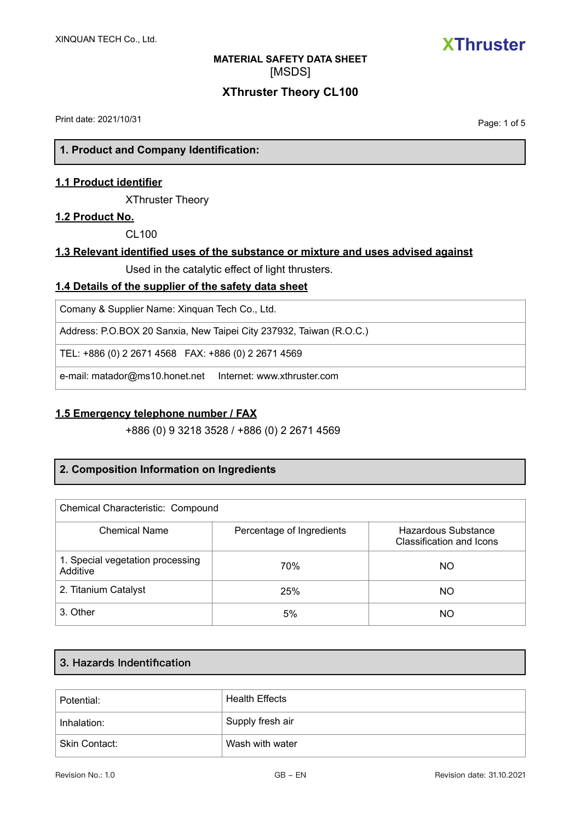

### **XThruster Theory CL100**

Print date: 2021/10/31

Page: 1 of 5

**1. Product and Company Identification:**

### **1.1 Product identifier**

XThruster Theory

#### **1.2 Product No.**

 $C1100$ 

### **1.3 Relevant identified uses of the substance or mixture and uses advised against**

Used in the catalytic effect of light thrusters.

### **1.4 Details of the supplier of the safety data sheet**

Comany & Supplier Name: Xinquan Tech Co., Ltd.

Address: P.O.BOX 20 Sanxia, New Taipei City 237932, Taiwan (R.O.C.)

TEL: +886 (0) 2 2671 4568 FAX: +886 (0) 2 2671 4569

e-mail: matador@ms10.honet.net Internet: www.xthruster.com

### **1.5 Emergency telephone number / FAX**

+886 (0) 9 3218 3528 / +886 (0) 2 2671 4569

### **2. Composition Information on Ingredients**

| Chemical Characteristic: Compound            |                           |                                                 |
|----------------------------------------------|---------------------------|-------------------------------------------------|
| <b>Chemical Name</b>                         | Percentage of Ingredients | Hazardous Substance<br>Classification and Icons |
| 1. Special vegetation processing<br>Additive | 70%                       | NΟ                                              |
| 2. Titanium Catalyst                         | 25%                       | NΟ                                              |
| 3. Other                                     | 5%                        | NΟ                                              |

### **3. Hazards Indentification**

| Potential:    | <b>Health Effects</b> |
|---------------|-----------------------|
| Inhalation:   | Supply fresh air      |
| Skin Contact: | Wash with water       |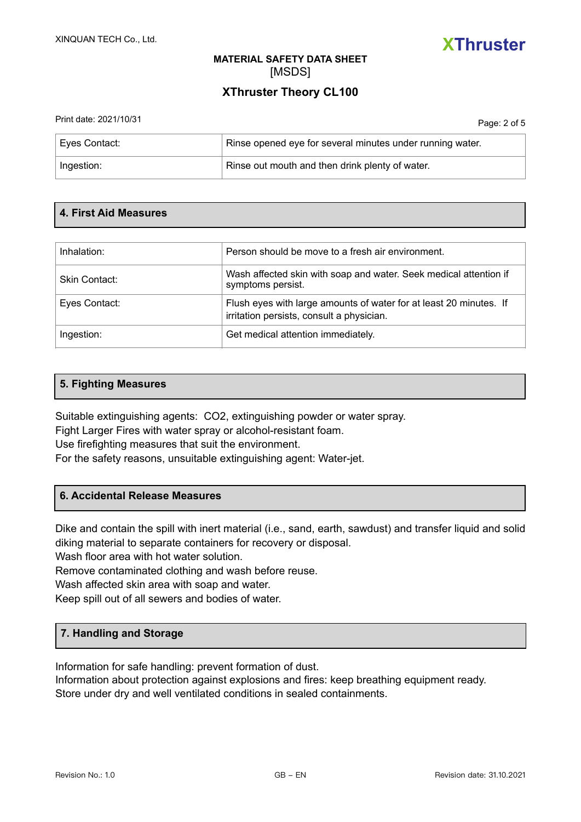

## **XThruster Theory CL100**

| Print date: 2021/10/31 | Page: 2 of 5                                              |
|------------------------|-----------------------------------------------------------|
| Eyes Contact:          | Rinse opened eye for several minutes under running water. |
| Ingestion:             | Rinse out mouth and then drink plenty of water.           |

### **4. First Aid Measures**

| Inhalation:   | Person should be move to a fresh air environment.                                                               |
|---------------|-----------------------------------------------------------------------------------------------------------------|
| Skin Contact: | Wash affected skin with soap and water. Seek medical attention if<br>symptoms persist.                          |
| Eyes Contact: | Flush eyes with large amounts of water for at least 20 minutes. If<br>irritation persists, consult a physician. |
| Ingestion:    | Get medical attention immediately.                                                                              |

### **5. Fighting Measures**

Suitable extinguishing agents: CO2, extinguishing powder or water spray.

Fight Larger Fires with water spray or alcohol-resistant foam.

Use firefighting measures that suit the environment.

For the safety reasons, unsuitable extinguishing agent: Water-jet.

### **6. Accidental Release Measures**

Dike and contain the spill with inert material (i.e., sand, earth, sawdust) and transfer liquid and solid diking material to separate containers for recovery or disposal.

Wash floor area with hot water solution.

Remove contaminated clothing and wash before reuse.

Wash affected skin area with soap and water.

Keep spill out of all sewers and bodies of water.

### **7. Handling and Storage**

Information for safe handling: prevent formation of dust.

Information about protection against explosions and fires: keep breathing equipment ready. Store under dry and well ventilated conditions in sealed containments.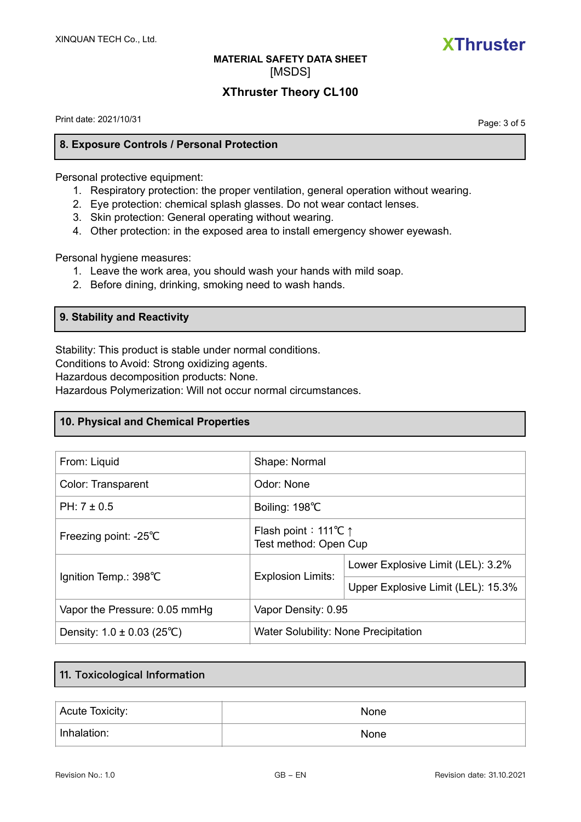

### **XThruster Theory CL100**

Print date: 2021/10/31

Page: 3 of 5

### **8. Exposure Controls / Personal Protection**

Personal protective equipment:

- 1. Respiratory protection: the proper ventilation, general operation without wearing.
- 2. Eye protection: chemical splash glasses. Do not wear contact lenses.
- 3. Skin protection: General operating without wearing.
- 4. Other protection: in the exposed area to install emergency shower eyewash.

Personal hygiene measures:

- 1. Leave the work area, you should wash your hands with mild soap.
- 2. Before dining, drinking, smoking need to wash hands.

### **9. Stability and Reactivity**

Stability: This product is stable under normal conditions.

Conditions to Avoid: Strong oxidizing agents.

Hazardous decomposition products: None.

Hazardous Polymerization: Will not occur normal circumstances.

### **10. Physical and Chemical Properties**

| From: Liquid                                | Shape: Normal                                                       |                                    |
|---------------------------------------------|---------------------------------------------------------------------|------------------------------------|
| Color: Transparent                          | Odor: None                                                          |                                    |
| PH: $7 \pm 0.5$                             | Boiling: 198°C                                                      |                                    |
| Freezing point: -25°C                       | Flash point: 111 <sup>°</sup> C $\uparrow$<br>Test method: Open Cup |                                    |
| Ignition Temp.: 398°C                       | <b>Explosion Limits:</b>                                            | Lower Explosive Limit (LEL): 3.2%  |
|                                             |                                                                     | Upper Explosive Limit (LEL): 15.3% |
| Vapor the Pressure: 0.05 mmHg               | Vapor Density: 0.95                                                 |                                    |
| Density: $1.0 \pm 0.03$ (25 <sup>°</sup> C) | Water Solubility: None Precipitation                                |                                    |

### **11. Toxicological Information**

| Acute Toxicity: | None        |
|-----------------|-------------|
| Inhalation:     | <b>None</b> |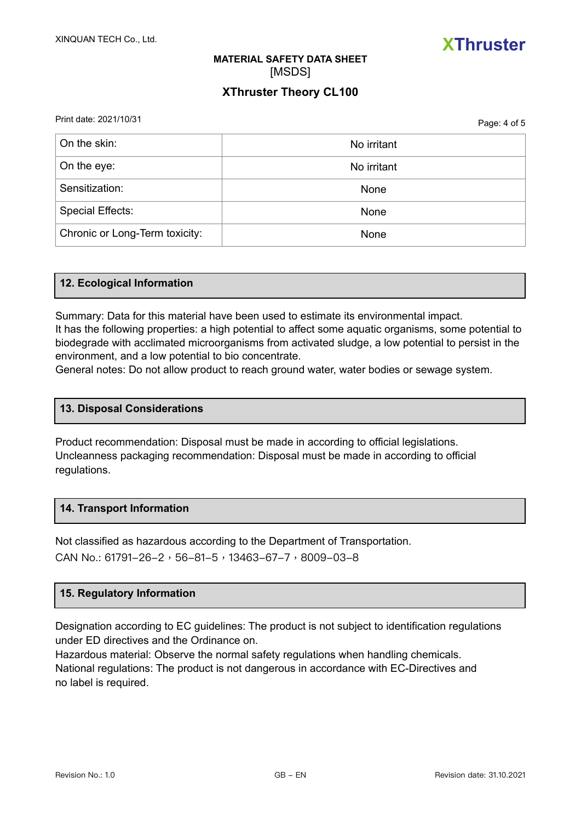

### **XThruster Theory CL100**

Print date: 2021/10/31

Page: 4 of 5

| On the skin:                   | No irritant |
|--------------------------------|-------------|
| On the eye:                    | No irritant |
| Sensitization:                 | None        |
| <b>Special Effects:</b>        | None        |
| Chronic or Long-Term toxicity: | None        |

### **12. Ecological Information**

Summary: Data for this material have been used to estimate its environmental impact. It has the following properties: a high potential to affect some aquatic organisms, some potential to biodegrade with acclimated microorganisms from activated sludge, a low potential to persist in the environment, and a low potential to bio concentrate.

General notes: Do not allow product to reach ground water, water bodies or sewage system.

### **13. Disposal Considerations**

Product recommendation: Disposal must be made in according to official legislations. Uncleanness packaging recommendation: Disposal must be made in according to official regulations.

### **14. Transport Information**

Not classified as hazardous according to the Department of Transportation. CAN No.: 61791-26-2, 56-81-5, 13463-67-7, 8009-03-8

#### **15. Regulatory Information**

Designation according to EC guidelines: The product is not subject to identification regulations under ED directives and the Ordinance on.

Hazardous material: Observe the normal safety regulations when handling chemicals. National regulations: The product is not dangerous in accordance with EC-Directives and no label is required.